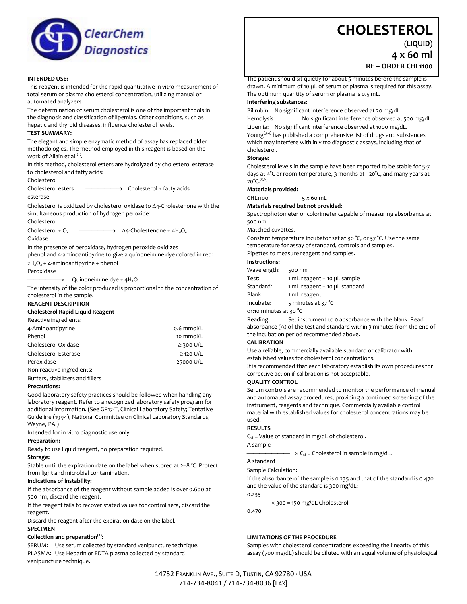

#### **INTENDED USE:**

This reagent is intended for the rapid quantitative in vitro measurement of total serum or plasma cholesterol concentration, utilizing manual or automated analyzers.

The determination of serum cholesterol is one of the important tools in the diagnosis and classification of lipemias. Other conditions, such as hepatic and thyroid diseases, influence cholesterol levels.

#### **TEST SUMMARY:**

The elegant and simple enzymatic method of assay has replaced older methodologies. The method employed in this reagent is based on the work of Allain et al.<sup>(1)</sup>.

In this method, cholesterol esters are hydrolyzed by cholesterol esterase to cholesterol and fatty acids:

Cholesterol

Cholesterol esters  $\longrightarrow$  Cholesterol + fatty acids esterase

Cholesterol is oxidized by cholesterol oxidase to  $\Delta$ 4-Cholestenone with the simultaneous production of hydrogen peroxide:

Cholesterol Cholesterol +  $O_2$   $\longrightarrow$   $\Delta$ 4-Cholestenone + 4H<sub>2</sub>O<sub>2</sub> Oxidase

In the presence of peroxidase, hydrogen peroxide oxidizes

phenol and 4-aminoantipyrine to give a quinoneimine dye colored in red:  $2H_2O_2$  + 4-aminoantipyrine + phenol

Peroxidase

 $\rightarrow$  Quinoneimine dye + 4H<sub>2</sub>O

The intensity of the color produced is proportional to the concentration of cholesterol in the sample.

## **REAGENT DESCRIPTION**

#### **Cholesterol Rapid Liquid Reagent**

| Reactive ingredients:     |                |
|---------------------------|----------------|
| 4-Aminoantipyrine         | 0.6 mmol/L     |
| Phenol                    | 10 mmol/L      |
| Cholesterol Oxidase       | $\geq$ 300 U/L |
| Cholesterol Esterase      | $\geq$ 120 U/L |
| Peroxidase                | 25000 U/L      |
| Non-reactive ingredients: |                |

Buffers, stabilizers and fillers

#### **Precautions:**

Good laboratory safety practices should be followed when handling any laboratory reagent. Refer to a recognized laboratory safety program for additional information. (See GP17-T, Clinical Laboratory Safety; Tentative Guideline (1994), National Committee on Clinical Laboratory Standards, Wayne, PA.)

Intended for in vitro diagnostic use only.

#### **Preparation:**

Ready to use liquid reagent, no preparation required.

#### **Storage:**

Stable until the expiration date on the label when stored at 2–8 °C. Protect from light and microbial contamination.

#### **Indications of instability:**

If the absorbance of the reagent without sample added is over 0.600 at 500 nm, discard the reagent.

If the reagent fails to recover stated values for control sera, discard the reagent.

Discard the reagent after the expiration date on the label.

## **SPECIMEN**

#### **Collection and preparation(2):**

SERUM: Use serum collected by standard venipuncture technique. PLASMA: Use Heparin or EDTA plasma collected by standard venipuncture technique.

# **CHOLESTEROL**

**(LIQUID)**

**4 x 60 ml**

**RE – ORDER CHL1100**

The patient should sit quietly for about 5 minutes before the sample is drawn. A minimum of 10 µL of serum or plasma is required for this assay. The optimum quantity of serum or plasma is 0.5 mL.

## **Interfering substances:**

Bilirubin: No significant interference observed at 20 mg/dL.

Hemolysis: No significant interference observed at 500 mg/dL. Lipemia: No significant interference observed at 1000 mg/dL.

Young $(3,4)$  has published a comprehensive list of drugs and substances which may interfere with in vitro diagnostic assays, including that of cholesterol.

#### **Storage:**

Cholesterol levels in the sample have been reported to be stable for 5-7 days at 4°C or room temperature, 3 months at –20°C, and many years at – 70°C.(5,6)

#### **Materials provided:**

CHL1100 5 x 60 mL

#### **Materials required but not provided:**

Spectrophotometer or colorimeter capable of measuring absorbance at 500 nm.

Matched cuvettes.

Constant temperature incubator set at 30 °C, or 37 °C. Use the same temperature for assay of standard, controls and samples.

Pipettes to measure reagent and samples.

## **Instructions:**

| Wavelength: | 500 nm                        |
|-------------|-------------------------------|
| Test:       | 1 mL reagent + 10 µL sample   |
| Standard:   | 1 mL reagent + 10 uL standard |
| Blank:      | 1 mL reagent                  |
| Incubate:   | 5 minutes at 37 °C            |
|             |                               |

or:10 minutes at 30 °C

Reading: Set instrument to 0 absorbance with the blank. Read absorbance (A) of the test and standard within 3 minutes from the end of the incubation period recommended above.

#### **CALIBRATION**

Use a reliable, commercially available standard or calibrator with established values for cholesterol concentrations.

It is recommended that each laboratory establish its own procedures for corrective action if calibration is not acceptable.

#### **QUALITY CONTROL**

Serum controls are recommended to monitor the performance of manual and automated assay procedures, providing a continued screening of the instrument, reagents and technique. Commercially available control material with established values for cholesterol concentrations may be used.

#### **RESULTS**

 $C_{st}$  = Value of standard in mg/dL of cholesterol.

#### A sample

 $-C_{st}$  = Cholesterol in sample in mg/dL.

# A standard

Sample Calculation:

If the absorbance of the sample is 0.235 and that of the standard is 0.470 and the value of the standard is 300 mg/dL:

0.235

 $\rightarrow$  300 = 150 mg/dL Cholesterol

0.470

#### **LIMITATIONS OF THE PROCEDURE**

Samples with cholesterol concentrations exceeding the linearity of this assay (700 mg/dL) should be diluted with an equal volume of physiological